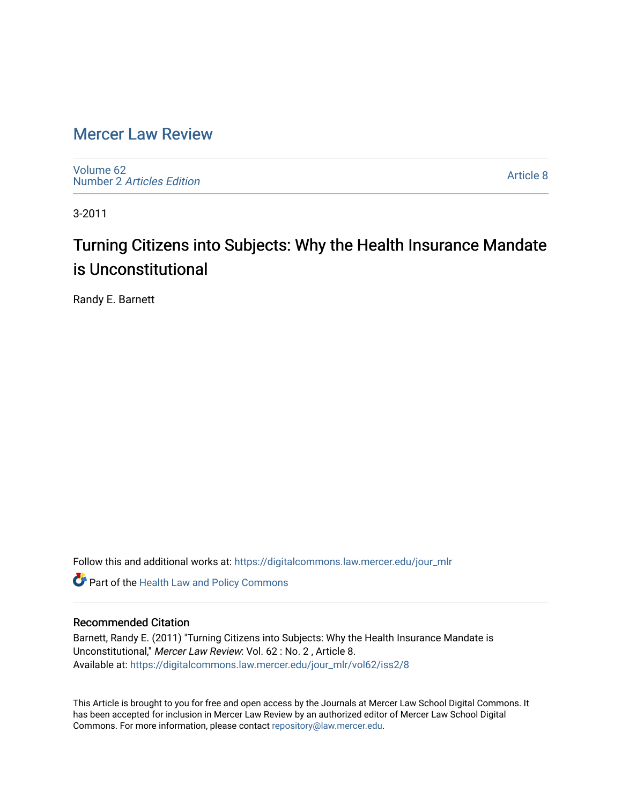## [Mercer Law Review](https://digitalcommons.law.mercer.edu/jour_mlr)

[Volume 62](https://digitalcommons.law.mercer.edu/jour_mlr/vol62) Number 2 [Articles Edition](https://digitalcommons.law.mercer.edu/jour_mlr/vol62/iss2) 

[Article 8](https://digitalcommons.law.mercer.edu/jour_mlr/vol62/iss2/8) 

3-2011

# Turning Citizens into Subjects: Why the Health Insurance Mandate is Unconstitutional

Randy E. Barnett

Follow this and additional works at: [https://digitalcommons.law.mercer.edu/jour\\_mlr](https://digitalcommons.law.mercer.edu/jour_mlr?utm_source=digitalcommons.law.mercer.edu%2Fjour_mlr%2Fvol62%2Fiss2%2F8&utm_medium=PDF&utm_campaign=PDFCoverPages)

**Part of the Health Law and Policy Commons** 

#### Recommended Citation

Barnett, Randy E. (2011) "Turning Citizens into Subjects: Why the Health Insurance Mandate is Unconstitutional," Mercer Law Review: Vol. 62 : No. 2 , Article 8. Available at: [https://digitalcommons.law.mercer.edu/jour\\_mlr/vol62/iss2/8](https://digitalcommons.law.mercer.edu/jour_mlr/vol62/iss2/8?utm_source=digitalcommons.law.mercer.edu%2Fjour_mlr%2Fvol62%2Fiss2%2F8&utm_medium=PDF&utm_campaign=PDFCoverPages)

This Article is brought to you for free and open access by the Journals at Mercer Law School Digital Commons. It has been accepted for inclusion in Mercer Law Review by an authorized editor of Mercer Law School Digital Commons. For more information, please contact [repository@law.mercer.edu.](mailto:repository@law.mercer.edu)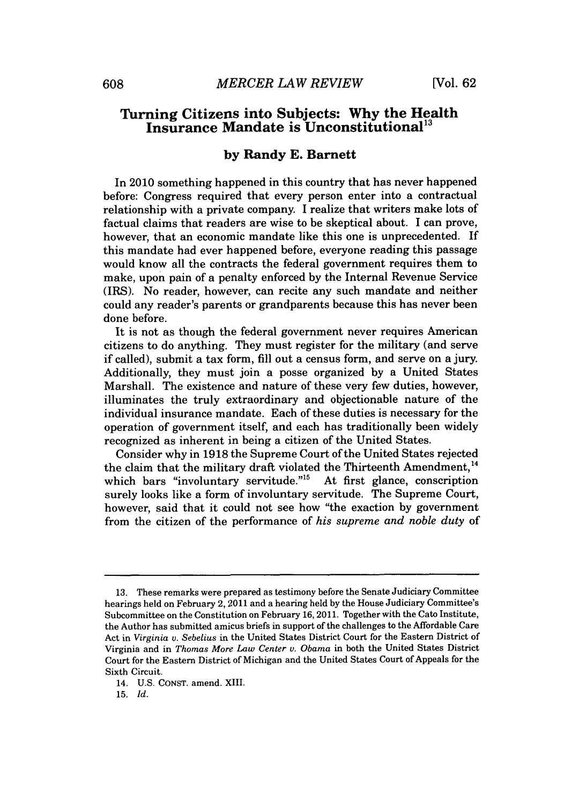### **Turning Citizens into Subjects: Why the Health Insurance Mandate is Unconstitutional"**

#### **by Randy E. Barnett**

In 2010 something happened in this country that has never happened before: Congress required that every person enter into a contractual relationship with a private company. **I** realize that writers make lots of factual claims that readers are wise to be skeptical about. I can prove, however, that an economic mandate like this one is unprecedented. If this mandate had ever happened before, everyone reading this passage would know all the contracts the federal government requires them to make, upon pain of a penalty enforced **by** the Internal Revenue Service (IRS). No reader, however, can recite any such mandate and neither could any reader's parents or grandparents because this has never been done before.

It is not as though the federal government never requires American citizens to do anything. They must register for the military (and serve if called), submit a tax form, **fill** out a census form, and serve on a jury. Additionally, they must join a posse organized **by** a United States Marshall. The existence and nature of these very few duties, however, illuminates the truly extraordinary and objectionable nature of the individual insurance mandate. Each of these duties is necessary for the operation of government itself, and each has traditionally been widely recognized as inherent in being a citizen of the United States.

Consider why in **1918** the Supreme Court of the United States rejected the claim that the military draft violated the Thirteenth Amendment.<sup>14</sup> which bars "involuntary servitude."<sup>15</sup> At first glance, conscription surely looks like a form of involuntary servitude. The Supreme Court, however, said that it could not see how "the exaction **by** government from the citizen of the performance of *his supreme and noble duty of*

**<sup>13.</sup>** These remarks were prepared as testimony before the Senate Judiciary Committee hearings held on February 2, 2011 and a hearing held **by** the House Judiciary Committee's Subcommittee on the Constitution on February **16,** 2011. Together with the Cato Institute, the Author has submitted amicus briefs in support of the challenges to the Affordable Care Act in *Virginia v. Sebelius* in the United States District Court for the Eastern District of Virginia and in *Thomas More Law Center v. Obama* in both the United States District Court for the Eastern District of Michigan and the United States Court of Appeals for the Sixth Circuit.

<sup>14.</sup> **U.S. CONST.** amend. XIII.

**<sup>15.</sup>** *Id.*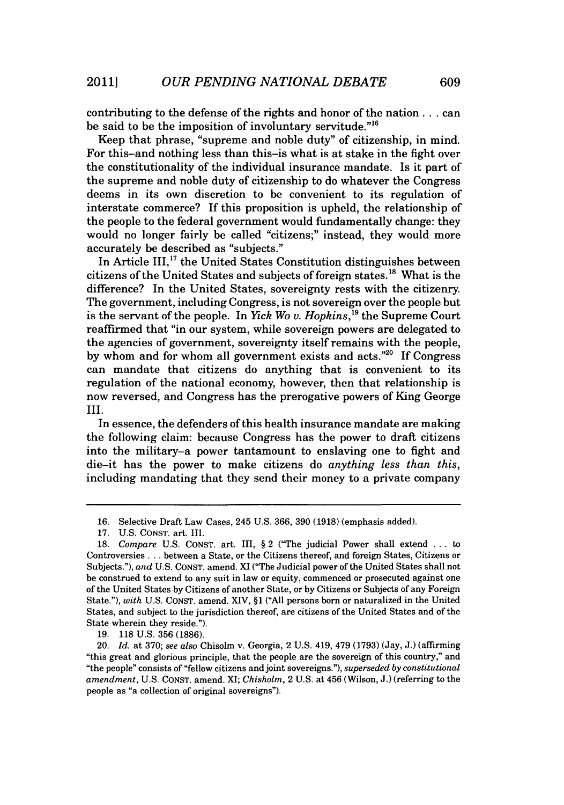contributing to the defense of the rights and honor of the nation... can be said to be the imposition of involuntary servitude."<sup>16</sup>

Keep that phrase, "supreme and noble duty" of citizenship, in mind. For this-and nothing less than this-is what is at stake in the fight over the constitutionality of the individual insurance mandate. Is it part of the supreme and noble duty of citizenship to do whatever the Congress deems in its own discretion to be convenient to its regulation of interstate commerce? If this proposition is upheld, the relationship of the people to the federal government would fundamentally change: they would no longer fairly be called "citizens;" instead, they would more accurately be described as "subjects."

In Article III, $^{17}$  the United States Constitution distinguishes between citizens of the United States and subjects of foreign states." What is the difference? In the United States, sovereignty rests with the citizenry. The government, including Congress, is not sovereign over the people but is the servant of the people. In *Yick Wo v. Hopkins*,<sup>19</sup> the Supreme Court reaffirmed that "in our system, while sovereign powers are delegated to the agencies of government, sovereignty itself remains with the people, **by** whom and for whom all government exists and acts."20 **If** Congress can mandate that citizens do anything that is convenient to its regulation of the national economy, however, then that relationship is now reversed, and Congress has the prerogative powers of King George **III.**

In essence, the defenders of this health insurance mandate are making the following claim: because Congress has the power to draft citizens into the military-a power tantamount to enslaving one to fight and die-it has the power to make citizens do *anything less than this,* including mandating that they send their money to a private company

**19. 118 U.S. 356 (1886).**

**<sup>16.</sup>** Selective Draft Law Cases, 245 **U.S. 366, 390 (1918)** (emphasis added).

**<sup>17.</sup> U.S. CONST.** art. III.

**<sup>18.</sup>** *Compare* **U.S. CONsT.** art. III, **§** 2 ("The judicial Power shall extend **.** . **.** to Controversies **.** . **.** between a State, or the Citizens thereof, and foreign States, Citizens or Subjects."), *and* **U.S. CONST.** amend. XI ("The Judicial power of the United States shall not be construed to extend to any suit in law or equity, commenced or prosecuted against one of the United States **by** Citizens of another State, or **by** Citizens or Subjects of any Foreign State."), *with* **U.S. CONST.** amend. XIV, **§1 ("All** persons born or naturalized in the United States, and subject to the jurisdiction thereof, are citizens of the United States and of the State wherein they reside.").

<sup>20.</sup> *Id.* at **370;** *see also* Chisolm v. Georgia, 2 **U.S.** 419, 479 **(1793)** (Jay, **J.)** (affirming "this great and glorious principle, that the people are the sovereign of this country," and "the people" consists of "fellow citizens and joint sovereigns."), *superseded by constitutional amendment,* **U.S. CONST.** amend. XI; *Chisholm,* 2 **U.S.** at 456 (Wilson, **J.)** (referring to the people as "a collection of original sovereigns").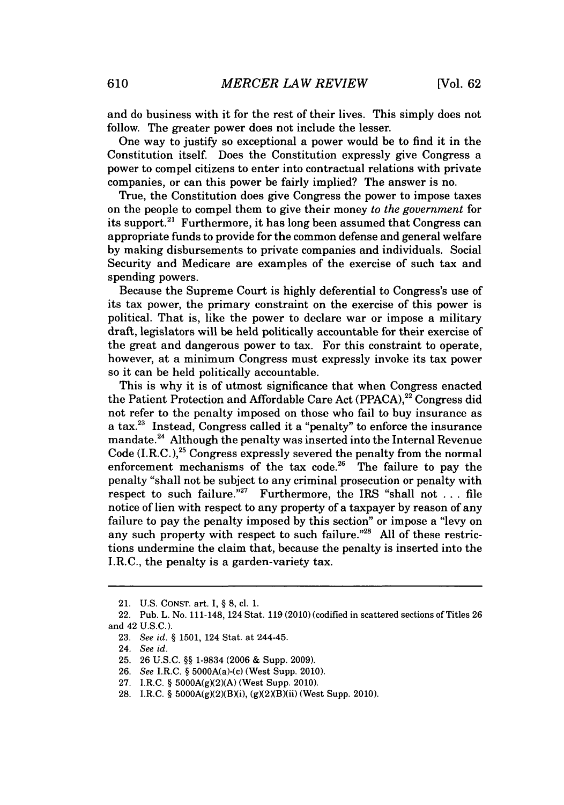and do business with it for the rest of their lives. This simply does not follow. The greater power does not include the lesser.

One way to justify so exceptional a power would be to find it in the Constitution itself. Does the Constitution expressly give Congress a power to compel citizens to enter into contractual relations with private companies, or can this power **be** fairly implied? The answer is no.

True, the Constitution does give Congress the power to impose taxes on the people to compel them to give their money *to the government* for its support.<sup>21</sup> Furthermore, it has long been assumed that Congress can appropriate funds to provide for the common defense and general welfare **by** making disbursements to private companies and individuals. Social Security and Medicare are examples of the exercise of such tax and spending powers.

Because the Supreme Court is **highly** deferential to Congress's use of its tax power, the primary constraint on the exercise of this power is political. That is, like the power to declare war or impose a military draft, legislators will be held politically accountable for their exercise of the great and dangerous power to tax. For this constraint to operate, however, at a minimum Congress must expressly invoke its tax power so it can be held politically accountable.

This is why it is of utmost significance that when Congress enacted the Patient Protection and Affordable Care Act **(PPACA),22** Congress did not refer to the penalty imposed on those who fail to buy insurance as a tax.23 Instead, Congress called it a "penalty" to enforce the insurance mandate.24 Although the penalty was inserted into the Internal Revenue Code  $(I.R.C.)$ <sup>25</sup> Congress expressly severed the penalty from the normal enforcement mechanisms of the tax code.<sup>26</sup> The failure to pay the penalty "shall not be subject to any criminal prosecution or penalty with respect to such failure."<sup>27</sup> Furthermore, the IRS "shall not ... file notice of lien with respect to any property of a taxpayer **by** reason of any failure to pay the penalty imposed **by** this section" or impose a "levy on any such property with respect to such failure."28 **All** of these restrictions undermine the claim that, because the penalty is inserted into the I.R.C., the penalty is a garden-variety tax.

<sup>21.</sup> **U.S. CONST.** art. **I,** *§* **8,** cl. **1.**

<sup>22.</sup> Pub. L. No. 111-148, 124 Stat. **119** (2010) (codified in scattered sections of Titles **26** and 42 **U.S.C.).**

**<sup>23.</sup>** *See id. §* **1501,** 124 Stat. at 244-45.

<sup>24.</sup> *See id.*

**<sup>25. 26</sup> U.S.C.** *§§* **1-9834 (2006 &** Supp. **2009).**

**<sup>26.</sup>** *See* I.R.C. *§* 5000A(a)-(c) (West Supp. 2010).

**<sup>27.</sup>** I.R.C. *§* **5000A(gX2)(A)** (West Supp. 2010).

<sup>28.</sup> I.R.C. § 5000A(g)(2)(B)(i), (g)(2)(B)(ii) (West Supp. 2010).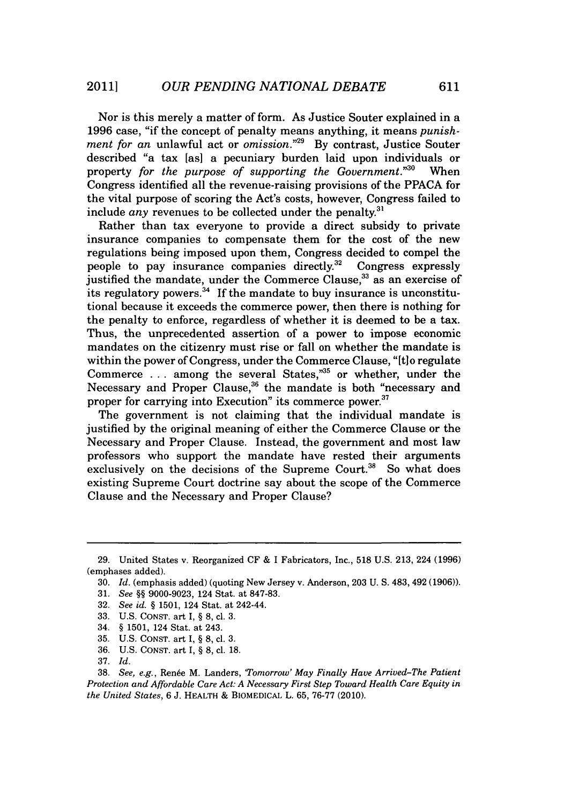Nor is this merely a matter of form. As Justice Souter explained in a **1996** case, "if the concept of penalty means anything, it means *punishment for an* unlawful act or *omission."29* **By** contrast, Justice Souter described "a tax [as] a pecuniary burden laid upon individuals or property *for the purpose of supporting the Government.*"<sup>30</sup> When Congress identified all the revenue-raising provisions of the **PPACA** for the vital purpose of scoring the Act's costs, however, Congress failed to include  $any$  revenues to be collected under the penalty.<sup>31</sup>

Rather than tax everyone to provide a direct subsidy to private insurance companies to compensate them for the cost of the new regulations being imposed upon them, Congress decided to compel the people to pay insurance companies directly.<sup>32</sup> Congress expressly justified the mandate, under the Commerce Clause,<sup>33</sup> as an exercise of its regulatory powers.<sup>34</sup> If the mandate to buy insurance is unconstitutional because it exceeds the commerce power, then there is nothing for the penalty to enforce, regardless of whether it is deemed to be a tax. Thus, the unprecedented assertion of a power to impose economic mandates on the citizenry must rise or fall on whether the mandate is within the power of Congress, under the Commerce Clause, "[tlo regulate Commerce . . . among the several States,<sup>35</sup> or whether, under the Necessary and Proper Clause,<sup>36</sup> the mandate is both "necessary and proper for carrying into Execution" its commerce power.<sup>37</sup>

The government is not claiming that the individual mandate is justified **by** the original meaning of either the Commerce Clause or the Necessary and Proper Clause. Instead, the government and most law professors who support the mandate have rested their arguments exclusively on the decisions of the Supreme Court.<sup>38</sup> So what does existing Supreme Court doctrine say about the scope of the Commerce Clause and the Necessary and Proper Clause?

**<sup>29.</sup>** United States v. Reorganized **CF &** I Fabricators, Inc., **518 U.S. 213,** 224 **(1996)** (emphases added).

**<sup>30.</sup>** *Id.* (emphasis added) (quoting New Jersey v. Anderson, **203 U. S.** 483, 492 **(1906)).**

**<sup>31.</sup>** *See §§* **9000-9023,** 124 Stat. at **847-83.**

**<sup>32.</sup>** *See id. §* **1501,** 124 Stat. at 242-44.

**<sup>33.</sup> U.S. CONST.** art I, **§ 8,** cl. **3.**

<sup>34.</sup> **§ 1501,** 124 Stat. at 243.

**<sup>35.</sup> U.S. CONST.** art **I, § 8,** cl. **3.**

**<sup>36.</sup> U.S. CONST.** art **I, § 8,** cl. **18.**

**<sup>37.</sup>** *Id.*

**<sup>38.</sup>** *See, e.g.,* Rene M. Landers, *'Tomorrow' May Finally Have Arrived-The Patient Protection and Affordable Care Act: A Necessary First Step Toward Health Care Equity in the United States, 6* **J.** HEALTH **&** BIOMEDICAL L. **65, 76-77** (2010).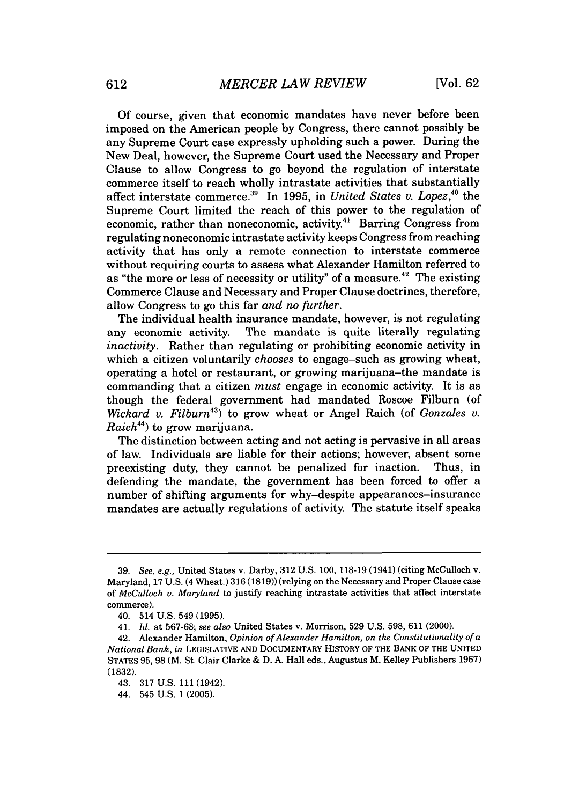**Of** course, given that economic mandates have never before been imposed on the American people **by** Congress, there cannot possibly be any Supreme Court case expressly upholding such a power. During the New Deal, however, the Supreme Court used the Necessary and Proper Clause to allow Congress to go beyond the regulation of interstate commerce itself to reach wholly intrastate activities that substantially affect interstate commerce.<sup>39</sup> In 1995, in *United States v. Lopez*,<sup>40</sup> the Supreme Court limited the reach of this power to the regulation of economic, rather than noneconomic, activity.<sup>41</sup> Barring Congress from regulating noneconomic intrastate activity keeps Congress from reaching activity that has only a remote connection to interstate commerce without requiring courts to assess what Alexander Hamilton referred to as "the more or less of necessity or utility" of a measure.<sup>42</sup> The existing Commerce Clause and Necessary and Proper Clause doctrines, therefore, allow Congress to go this far *and no further.*

The individual health insurance mandate, however, is not regulating any economic activity. The mandate is quite literally regulating *inactivity.* Rather than regulating or prohibiting economic activity in which a citizen voluntarily *chooses* to engage-such as growing wheat, operating a hotel or restaurant, or growing marijuana-the mandate is commanding that a citizen *must* engage in economic activity. It is as though the federal government had mandated Roscoe Filburn (of *Wickard v. Filburn")* to grow wheat or Angel Raich (of *Gonzales v. Raich4 4)* to grow marijuana.

The distinction between acting and not acting is pervasive in all areas of law. Individuals are liable for their actions; however, absent some preexisting duty, they cannot be penalized for inaction. Thus, in defending the mandate, the government has been forced to offer a number of shifting arguments for why-despite appearances-insurance mandates are actually regulations of activity. The statute itself speaks

**<sup>39.</sup>** *See, e.g.,* United States v. Darby, **312 U.S. 100, 118-19** (1941) (citing McCulloch v. Maryland, **17 U.S.** (4 Wheat.) **316 (1819))** (relying on the Necessary and Proper Clause case *of McCulloch v. Maryland* to justify reaching intrastate activities that affect interstate commerce).

<sup>40. 514</sup> **U.S.** 549 **(1995).**

*<sup>41.</sup> Id.* at **567-68;** *see also* United States v. Morrison, **529 U.S. 598, 611** (2000).

<sup>42.</sup> Alexander Hamilton, *Opinion of Alexander Hamilton, on the Constitutionality of a National Bank, in* **LEGISLATIVE AND DOCUMENTARY HISTORY OF THE BANK OF THE UNITED STATES 95, 98** (M. St. Clair Clarke **& D. A.** Hall eds., Augustus M. Kelley Publishers **1967) (1832).**

<sup>43.</sup> **317 U.S. 111** (1942).

<sup>44. 545</sup> **U.S. 1 (2005).**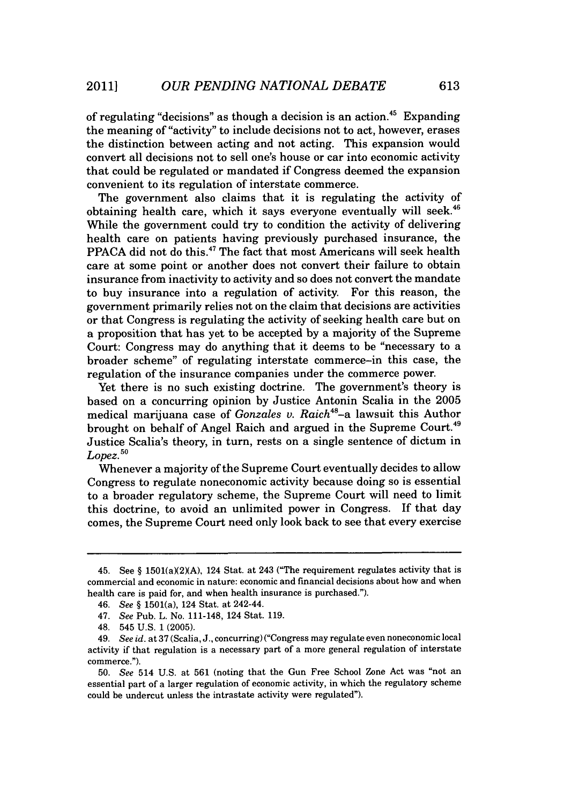of regulating "decisions" as though a decision is an action.<sup>45</sup> Expanding the meaning of "activity" to include decisions not to act, however, erases the distinction between acting and not acting. This expansion would convert all decisions not to sell one's house or car into economic activity that could be regulated or mandated if Congress deemed the expansion convenient to its regulation of interstate commerce.

The government also claims that it is regulating the activity of obtaining health care, which it says everyone eventually will seek. While the government could try to condition the activity of delivering health care on patients having previously purchased insurance, the PPACA did not do this.<sup>47</sup> The fact that most Americans will seek health care at some point or another does not convert their failure to obtain insurance from inactivity to activity and so does not convert the mandate to buy insurance into a regulation of activity. For this reason, the government primarily relies not on the claim that decisions are activities or that Congress is regulating the activity of seeking health care but on a proposition that has yet to be accepted **by** a majority of the Supreme Court: Congress may do anything that it deems to be "necessary to a broader scheme" of regulating interstate commerce-in this case, the regulation of the insurance companies under the commerce power.

Yet there is no such existing doctrine. The government's theory is based on a concurring opinion **by** Justice Antonin Scalia in the **2005** medical marijuana case of *Gonzales v. Raich48-a* lawsuit this Author brought on behalf of Angel Raich and argued in the Supreme Court. Justice Scalia's theory, in turn, rests on a single sentence of dictum in *Lopez.50*

Whenever a majority of the Supreme Court eventually decides to allow Congress to regulate noneconomic activity because doing so is essential to a broader regulatory scheme, the Supreme Court will need to limit this doctrine, to avoid an unlimited power in Congress. If that day comes, the Supreme Court need only look back to see that every exercise

<sup>45.</sup> See  $\S$  1501(a)(2)(A), 124 Stat. at 243 ("The requirement regulates activity that is commercial and economic in nature: economic and financial decisions about how and when health care is paid for, and when health insurance is purchased.").

*<sup>46.</sup> See* **§** 1501(a), 124 Stat. at 242-44.

*<sup>47.</sup> See* Pub. L. No. 111-148, 124 Stat. **119.**

<sup>48. 545</sup> **U.S. 1 (2005).**

<sup>49.</sup> *See id.* at **37** (Scalia, **J.,** concurring) ("Congress may regulate even noneconomic local activity if that regulation is a necessary part of a more general regulation of interstate commerce.").

*<sup>50.</sup> See* 514 **U.S.** at **561** (noting that the Gun Free School Zone Act was "not an essential part of a larger regulation of economic activity, in which the regulatory scheme could be undercut unless the intrastate activity were regulated").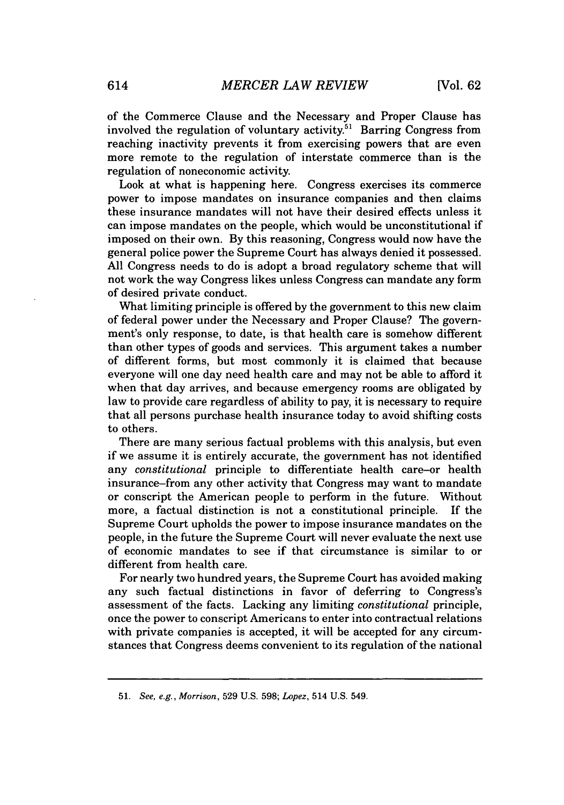of the Commerce Clause and the Necessary and Proper Clause has involved the regulation of voluntary activity.<sup>51</sup> Barring Congress from reaching inactivity prevents it from exercising powers that are even more remote to the regulation of interstate commerce than is the regulation of noneconomic activity.

Look at what is happening here. Congress exercises its commerce power to impose mandates on insurance companies and then claims these insurance mandates will not have their desired effects unless it can impose mandates on the people, which would be unconstitutional *if* imposed on their own. **By** this reasoning, Congress would now have the general police power the Supreme Court has always denied it possessed. **All** Congress needs to do is adopt a broad regulatory scheme that will not work the way Congress likes unless Congress can mandate any form of desired private conduct.

What limiting principle is offered **by** the government to this new claim of federal power under the Necessary and Proper Clause? The government's only response, to date, is that health care is somehow different than other types of goods and services. This argument takes a number of different forms, but most commonly it is claimed that because everyone will one day need health care and may not be able to afford it when that day arrives, and because emergency rooms are obligated **by** law to provide care regardless of ability to pay, it is necessary to require that all persons purchase health insurance today to avoid shifting costs to others.

There are many serious factual problems with this analysis, but even if we assume it is entirely accurate, the government has not identified any *constitutional* principle to differentiate health care-or health insurance-from any other activity that Congress may want to mandate or conscript the American people to perform in the future. Without more, a factual distinction is not a constitutional principle. If the Supreme Court upholds the power to impose insurance mandates on the people, in the future the Supreme Court will never evaluate the next use of economic mandates to see if that circumstance is similar to or different from health care.

For nearly two hundred years, the Supreme Court has avoided making any such factual distinctions in favor of deferring to Congress's assessment of the facts. Lacking any limiting *constitutional* principle, once the power to conscript Americans to enter into contractual relations with private companies is accepted, it will be accepted for any circumstances that Congress deems convenient to its regulation of the national

**<sup>51.</sup>** *See, e.g., Morrison,* **529 U.S. 598;** *Lopez,* 514 **U.S.** 549.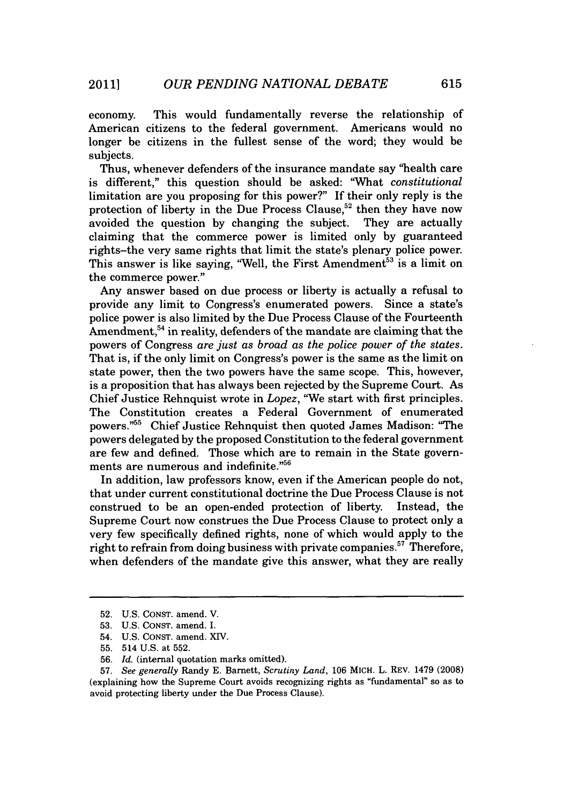economy. This would fundamentally reverse the relationship of American citizens to the federal government. Americans would no longer be citizens in the fullest sense of the word; they would be subjects.

Thus, whenever defenders of the insurance mandate say "health care is different," this question should be asked: "What *constitutional* limitation are you proposing for this power?" **If** their only reply is the protection of liberty in the Due Process Clause,<sup>52</sup> then they have now avoided the question **by** changing the subject. They are actually claiming that the commerce power is limited only **by** guaranteed rights-the very same rights that limit the state's plenary police power. This answer is like saying, "Well, the First Amendment<sup>53</sup> is a limit on the commerce power."

Any answer based on due process or liberty is actually a refusal to provide any limit to Congress's enumerated powers. Since a state's police power is also limited **by** the Due Process Clause of the Fourteenth Amendment,  $54$  in reality, defenders of the mandate are claiming that the powers of Congress *are just as broad as the police power of the states.* That is, if the only limit on Congress's power is the same as the limit on state power, then the two powers have the same scope. This, however, is a proposition that has always been rejected **by** the Supreme Court. As Chief Justice Rehnquist wrote in *Lopez,* "We start with first principles. The Constitution creates a Federal Government of enumerated powers."<sup>55</sup> Chief Justice Rehnquist then quoted James Madison: "The powers delegated **by** the proposed Constitution to the federal government are few and defined. Those which are to remain in the State governments are numerous and indefinite."

In addition, law professors know, even if the American people do not, that under current constitutional doctrine the Due Process Clause is not construed to be an open-ended protection of liberty. Instead, the Supreme Court now construes the Due Process Clause to protect only a very few specifically defined rights, none of which would apply to the right to refrain from doing business with private companies.<sup>57</sup> Therefore, when defenders of the mandate give this answer, what they are really

**<sup>52.</sup> U.S. CONST.** amend. V.

**<sup>53.</sup> U.S. CONST.** amend. I.

<sup>54.</sup> **U.S. CONST.** amend. XIV.

**<sup>55.</sup>** 514 **U.S.** at **552.**

**<sup>56.</sup>** *Id.* (internal quotation marks omitted).

**<sup>57.</sup>** *See generally* Randy **E.** Barnett, *Scrutiny Land,* **106** MICH. L. REV. 1479 **(2008)** (explaining how the Supreme Court avoids recognizing rights as "fundamental" so as to avoid protecting liberty under the Due Process Clause).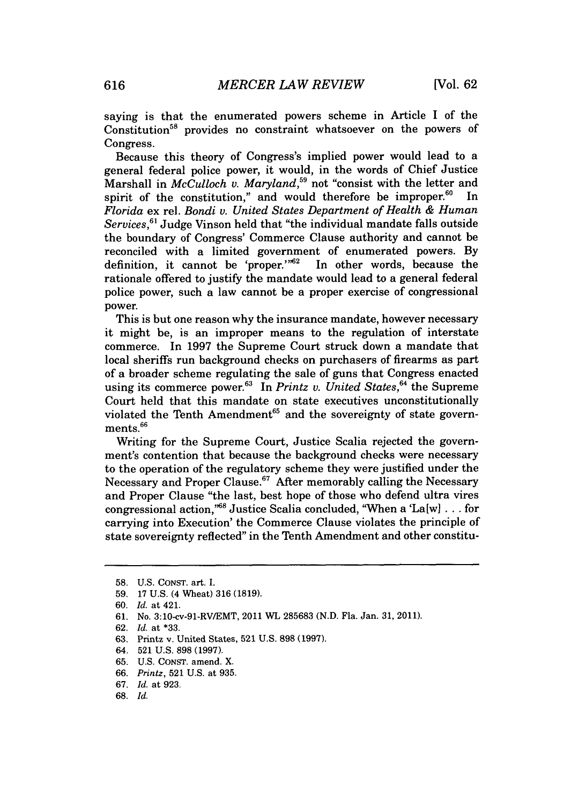saying is that the enumerated powers scheme in Article I of the Constitution<sup>58</sup> provides no constraint whatsoever on the powers of Congress.

Because this theory of Congress's implied power would lead to a general federal police power, it would, in the words of Chief Justice Marshall in *McCulloch v. Maryland*,<sup>59</sup> not "consist with the letter and spirit of the constitution," and would therefore be improper. $60$  In *Florida* ex rel. *Bondi v. United States Department of Health & Human Services,"* Judge Vinson held that "the individual mandate falls outside the boundary of Congress' Commerce Clause authority and cannot be reconciled with a limited government of enumerated powers. **By** definition, it cannot be 'proper." $62$ rationale offered to justify the mandate would lead to a general federal police power, such a law cannot be a proper exercise of congressional power.

This is but one reason why the insurance mandate, however necessary it might be, is an improper means to the regulation of interstate commerce. In **1997** the Supreme Court struck down a mandate that local sheriffs run background checks on purchasers of firearms as part of a broader scheme regulating the sale of guns that Congress enacted using its commerce power.<sup>63</sup> In *Printz v. United States*,<sup>64</sup> the Supreme Court held that this mandate on state executives unconstitutionally violated the Tenth Amendment<sup>65</sup> and the sovereignty of state governments.<sup>66</sup>

Writing for the Supreme Court, Justice Scalia rejected the government's contention that because the background checks were necessary to the operation of the regulatory scheme they were justified under the Necessary and Proper Clause.<sup>67</sup> After memorably calling the Necessary and Proper Clause "the last, best hope of those who defend ultra vires congressional action,<sup>768</sup> Justice Scalia concluded, "When a 'La[w] . . . for carrying into Execution' the Commerce Clause violates the principle of state sovereignty reflected" in the Tenth Amendment and other constitu-

**<sup>58.</sup> U.S. CONST.** art. I.

**<sup>59. 17</sup> U.S.** (4 Wheat) **316 (1819).**

**<sup>60.</sup>** *Id.* at 421.

**<sup>61.</sup>** No. 3:10-cv-91-RV/EMT, 2011 WL **285683 (N.D.** Fla. Jan. **31, 2011).**

**<sup>62.</sup>** *Id.* at **\*33.**

**<sup>63.</sup>** Printz v. United States, **521 U.S. 898 (1997).**

<sup>64.</sup> **521 U.S. 898 (1997).**

**<sup>65.</sup> U.S. CONST.** amend. X.

**<sup>66.</sup>** *Printz,* **521 U.S.** *at* **935.**

**<sup>67.</sup>** *Id. at* **923.**

**<sup>68.</sup>** *Id.*